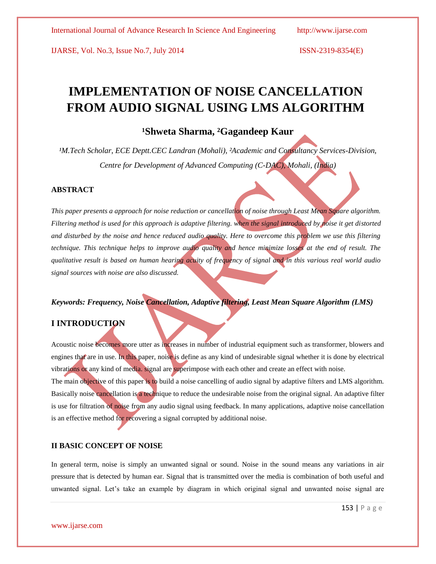# **IMPLEMENTATION OF NOISE CANCELLATION FROM AUDIO SIGNAL USING LMS ALGORITHM**

# **¹Shweta Sharma, ²Gagandeep Kaur**

<sup>1</sup>M.Tech Scholar, ECE Deptt.CEC Landran (Mohali), <sup>2</sup>Academic and Consultancy Services-Division, *Centre for Development of Advanced Computing (C-DAC), Mohali, (India)*

#### **ABSTRACT**

*This paper presents a approach for noise reduction or cancellation of noise through Least Mean Square algorithm. Filtering method is used for this approach is adaptive filtering. when the signal introduced by noise it get distorted and disturbed by the noise and hence reduced audio quality. Here to overcome this problem we use this filtering technique. This technique helps to improve audio quality and hence minimize losses at the end of result. The qualitative result is based on human hearing acuity of frequency of signal and in this various real world audio signal sources with noise are also discussed.*

# *Keywords: Frequency, Noise Cancellation, Adaptive filtering, Least Mean Square Algorithm (LMS)*

#### **I INTRODUCTION**

Acoustic noise becomes more utter as increases in number of industrial equipment such as transformer, blowers and engines that are in use. In this paper, noise is define as any kind of undesirable signal whether it is done by electrical vibrations or any kind of media. signal are superimpose with each other and create an effect with noise. The main objective of this paper is to build a noise cancelling of audio signal by adaptive filters and LMS algorithm. Basically noise cancellation is a technique to reduce the undesirable noise from the original signal. An adaptive filter is use for filtration of noise from any audio signal using feedback. In many applications, adaptive noise cancellation is an effective method for recovering a signal corrupted by additional noise.

#### **II BASIC CONCEPT OF NOISE**

In general term, noise is simply an unwanted signal or sound. Noise in the sound means any variations in air pressure that is detected by human ear. Signal that is transmitted over the media is combination of both useful and unwanted signal. Let's take an example by diagram in which original signal and unwanted noise signal are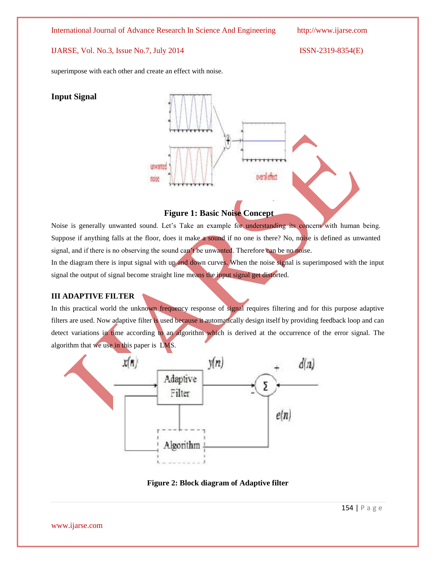International Journal of Advance Research In Science And Engineering http://www.ijarse.com

### IJARSE, Vol. No.3, Issue No.7, July 2014 ISSN-2319-8354(E)

superimpose with each other and create an effect with noise.

# **Input Signal**



# **Figure 1: Basic Noise Concept**

Noise is generally unwanted sound. Let's Take an example for understanding its concern with human being. Suppose if anything falls at the floor, does it make a sound if no one is there? No, noise is defined as unwanted signal, and if there is no observing the sound can't be unwanted. Therefore can be no noise.

In the diagram there is input signal with up and down curves. When the noise signal is superimposed with the input signal the output of signal become straight line means the input signal get distorted.

# **III ADAPTIVE FILTER**

In this practical world the unknown frequency response of signal requires filtering and for this purpose adaptive filters are used. Now adaptive filter is used because it automatically design itself by providing feedback loop and can detect variations in time according to an algorithm which is derived at the occurrence of the error signal. The algorithm that we use in this paper is LMS.



**Figure 2: Block diagram of Adaptive filter**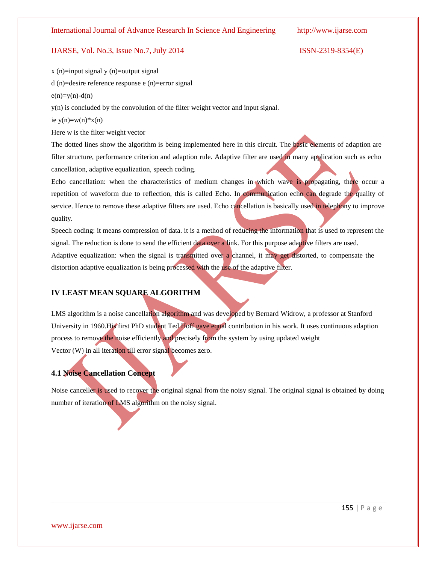x (n)=input signal y (n)=output signal

d (n)=desire reference response e (n)=error signal

 $e(n)=y(n)-d(n)$ 

y(n) is concluded by the convolution of the filter weight vector and input signal.

ie  $y(n)=w(n)*x(n)$ 

Here w is the filter weight vector

The dotted lines show the algorithm is being implemented here in this circuit. The basic elements of adaption are filter structure, performance criterion and adaption rule. Adaptive filter are used in many application such as echo cancellation, adaptive equalization, speech coding.

Echo cancellation: when the characteristics of medium changes in which wave is propagating, there occur a repetition of waveform due to reflection, this is called Echo. In communication echo can degrade the quality of service. Hence to remove these adaptive filters are used. Echo cancellation is basically used in telephony to improve quality.

Speech coding: it means compression of data. it is a method of reducing the information that is used to represent the signal. The reduction is done to send the efficient data over a link. For this purpose adaptive filters are used. Adaptive equalization: when the signal is transmitted over a channel, it may get distorted, to compensate the distortion adaptive equalization is being processed with the use of the adaptive filter.

#### **IV LEAST MEAN SQUARE ALGORITHM**

LMS algorithm is a noise cancellation algorithm and was developed by Bernard Widrow, a professor at Stanford University in 1960.His first PhD student Ted Hoff gave equal contribution in his work. It uses continuous adaption process to remove the noise efficiently and precisely from the system by using updated weight Vector (W) in all iteration till error signal becomes zero.

#### **4.1 Noise Cancellation Concept**

Noise canceller is used to recover the original signal from the noisy signal. The original signal is obtained by doing number of iteration of LMS algorithm on the noisy signal.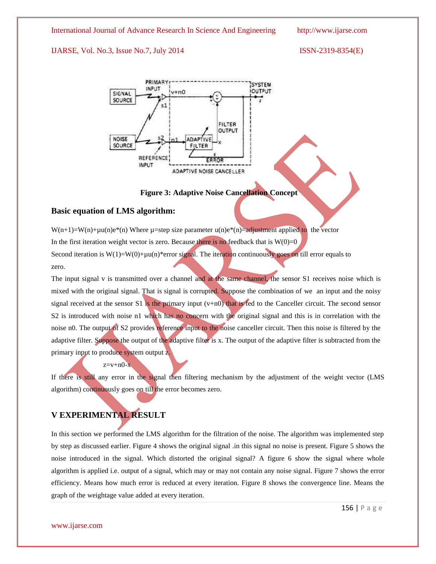International Journal of Advance Research In Science And Engineering http://www.ijarse.com

#### IJARSE, Vol. No.3, Issue No.7, July 2014 ISSN-2319-8354(E)





#### **Figure 3: Adaptive Noise Cancellation Concept**

#### **Basic equation of LMS algorithm:**

 $W(n+1)=W(n)+\mu u(n)e^{i\phi(n)}$  Where  $\mu$ =step size parameter  $u(n)e^{i\phi(n)}$  = adjustment applied to the vector In the first iteration weight vector is zero. Because there is no feedback that is  $W(0)=0$ Second iteration is  $W(1)=W(0)+\mu u(n)*$ error signal. The iteration continuously goes on till error equals to zero.

The input signal v is transmitted over a channel and at the same channel, the sensor S1 receives noise which is mixed with the original signal. That is signal is corrupted. Suppose the combination of we an input and the noisy signal received at the sensor S1 is the primary input  $(v+n0)$  that is fed to the Canceller circuit. The second sensor S2 is introduced with noise n1 which has no concern with the original signal and this is in correlation with the noise n0. The output of S2 provides reference input to the noise canceller circuit. Then this noise is filtered by the adaptive filter. Suppose the output of the adaptive filter is x. The output of the adaptive filter is subtracted from the primary input to produce system output z.

#### $z=v+n0-x$

If there is still any error in the signal then filtering mechanism by the adjustment of the weight vector (LMS algorithm) continuously goes on till the error becomes zero.

# **V EXPERIMENTAL RESULT**

In this section we performed the LMS algorithm for the filtration of the noise. The algorithm was implemented step by step as discussed earlier. Figure 4 shows the original signal .in this signal no noise is present. Figure 5 shows the noise introduced in the signal. Which distorted the original signal? A figure 6 show the signal where whole algorithm is applied i.e. output of a signal, which may or may not contain any noise signal. Figure 7 shows the error efficiency. Means how much error is reduced at every iteration. Figure 8 shows the convergence line. Means the graph of the weightage value added at every iteration.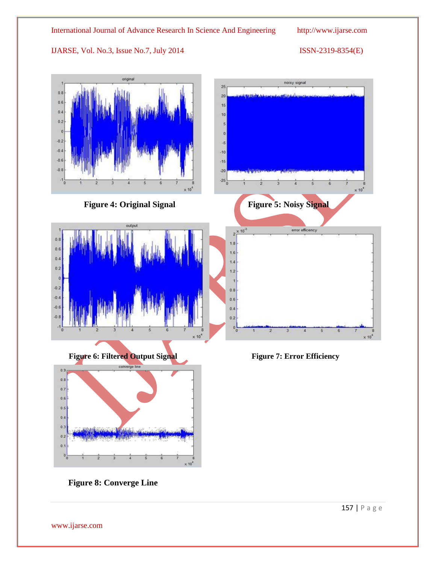

 **Figure 8: Converge Line**

157 | P a g e